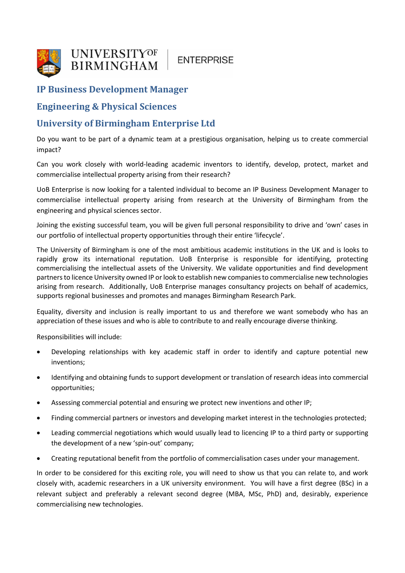

# **ENTERPRISE**

## **IP Business Development Manager**

### **Engineering & Physical Sciences**

### **University of Birmingham Enterprise Ltd**

Do you want to be part of a dynamic team at a prestigious organisation, helping us to create commercial impact?

Can you work closely with world-leading academic inventors to identify, develop, protect, market and commercialise intellectual property arising from their research?

UoB Enterprise is now looking for a talented individual to become an IP Business Development Manager to commercialise intellectual property arising from research at the University of Birmingham from the engineering and physical sciences sector.

Joining the existing successful team, you will be given full personal responsibility to drive and 'own' cases in our portfolio of intellectual property opportunities through their entire 'lifecycle'.

The University of Birmingham is one of the most ambitious academic institutions in the UK and is looks to rapidly grow its international reputation. UoB Enterprise is responsible for identifying, protecting commercialising the intellectual assets of the University. We validate opportunities and find development partners to licence University owned IP or look to establish new companies to commercialise new technologies arising from research. Additionally, UoB Enterprise manages consultancy projects on behalf of academics, supports regional businesses and promotes and manages Birmingham Research Park.

Equality, diversity and inclusion is really important to us and therefore we want somebody who has an appreciation of these issues and who is able to contribute to and really encourage diverse thinking.

Responsibilities will include:

- Developing relationships with key academic staff in order to identify and capture potential new inventions;
- Identifying and obtaining funds to support development or translation of research ideas into commercial opportunities;
- Assessing commercial potential and ensuring we protect new inventions and other IP;
- Finding commercial partners or investors and developing market interest in the technologies protected;
- Leading commercial negotiations which would usually lead to licencing IP to a third party or supporting the development of a new 'spin-out' company;
- Creating reputational benefit from the portfolio of commercialisation cases under your management.

In order to be considered for this exciting role, you will need to show us that you can relate to, and work closely with, academic researchers in a UK university environment. You will have a first degree (BSc) in a relevant subject and preferably a relevant second degree (MBA, MSc, PhD) and, desirably, experience commercialising new technologies.